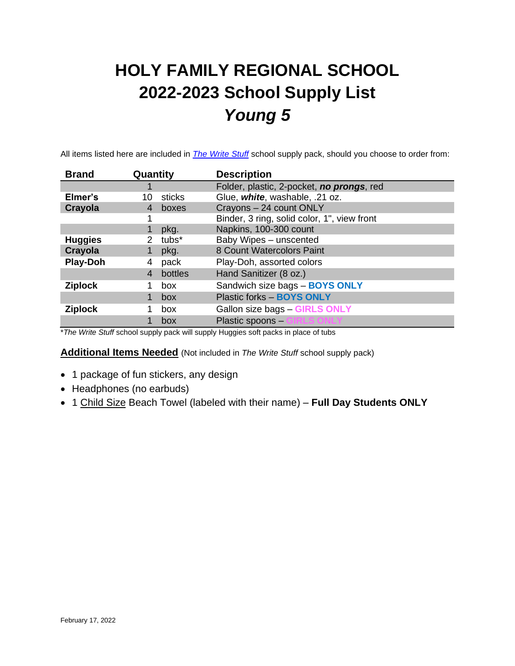# **HOLY FAMILY REGIONAL SCHOOL 2022-2023 School Supply List** *Young 5*

All items listed here are included in *[The Write Stuff](https://www.write-stuff.com/storefront/school/hfrs)* school supply pack, should you choose to order from:

| <b>Brand</b>    | Quantity                           | <b>Description</b>                          |
|-----------------|------------------------------------|---------------------------------------------|
|                 |                                    | Folder, plastic, 2-pocket, no prongs, red   |
| Elmer's         | sticks<br>10                       | Glue, white, washable, .21 oz.              |
| Crayola         | boxes                              | Crayons - 24 count ONLY                     |
|                 |                                    | Binder, 3 ring, solid color, 1", view front |
|                 | pkg.                               | Napkins, 100-300 count                      |
| <b>Huggies</b>  | tubs <sup>*</sup><br>$\mathcal{P}$ | Baby Wipes - unscented                      |
| Crayola         | pkg.                               | 8 Count Watercolors Paint                   |
| <b>Play-Doh</b> | pack<br>4                          | Play-Doh, assorted colors                   |
|                 | bottles<br>4                       | Hand Sanitizer (8 oz.)                      |
| <b>Ziplock</b>  | box                                | Sandwich size bags - BOYS ONLY              |
|                 | box                                | Plastic forks - BOYS ONLY                   |
| <b>Ziplock</b>  | box                                | Gallon size bags - GIRLS ONLY               |
|                 | box                                | Plastic spoons -                            |

\**The Write Stuff* school supply pack will supply Huggies soft packs in place of tubs

**Additional Items Needed** (Not included in *The Write Stuff* school supply pack)

- 1 package of fun stickers, any design
- Headphones (no earbuds)
- 1 Child Size Beach Towel (labeled with their name) **Full Day Students ONLY**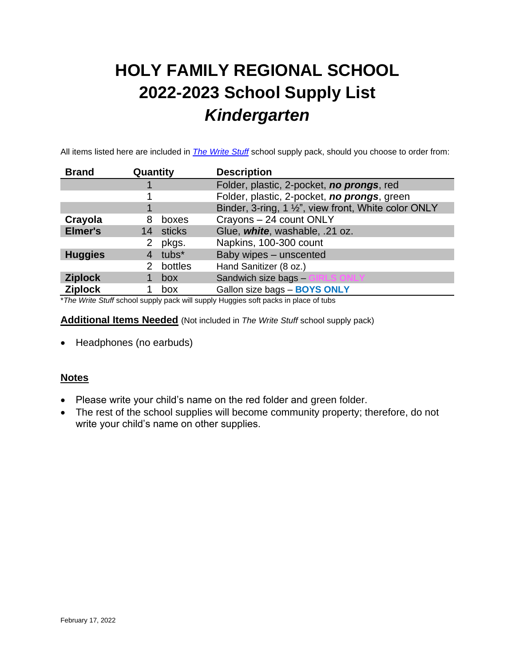# **HOLY FAMILY REGIONAL SCHOOL 2022-2023 School Supply List** *Kindergarten*

All items listed here are included in *[The Write Stuff](https://www.write-stuff.com/storefront/school/hfrs)* school supply pack, should you choose to order from:

| <b>Brand</b>   | Quantity          | <b>Description</b>                                   |
|----------------|-------------------|------------------------------------------------------|
|                |                   | Folder, plastic, 2-pocket, no prongs, red            |
|                |                   | Folder, plastic, 2-pocket, no prongs, green          |
|                |                   | Binder, 3-ring, 1 1/2", view front, White color ONLY |
| Crayola        | 8<br>boxes        | Crayons - 24 count ONLY                              |
| <b>Elmer's</b> | 14 sticks         | Glue, white, washable, .21 oz.                       |
|                | pkgs.             | Napkins, 100-300 count                               |
| <b>Huggies</b> | tubs <sup>*</sup> | Baby wipes - unscented                               |
|                | bottles           | Hand Sanitizer (8 oz.)                               |
| <b>Ziplock</b> | box               | Sandwich size bags -<br><b>S ONLY</b>                |
| <b>Ziplock</b> | box               | Gallon size bags - BOYS ONLY                         |

\**The Write Stuff* school supply pack will supply Huggies soft packs in place of tubs

**Additional Items Needed** (Not included in *The Write Stuff* school supply pack)

• Headphones (no earbuds)

#### **Notes**

- Please write your child's name on the red folder and green folder.
- The rest of the school supplies will become community property; therefore, do not write your child's name on other supplies.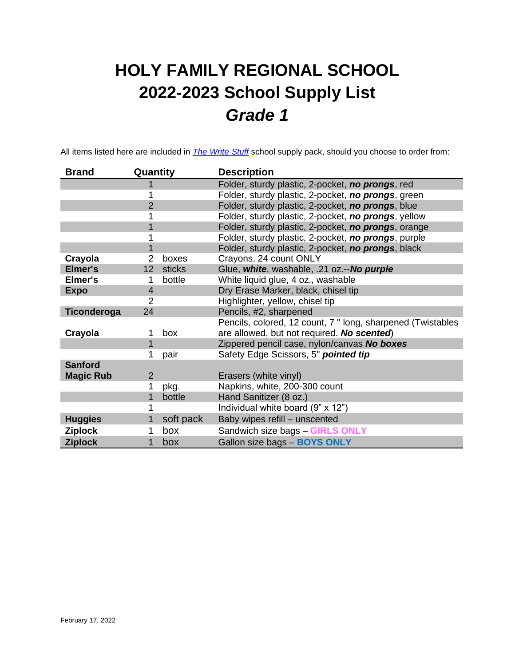# **HOLY FAMILY REGIONAL SCHOOL 2022-2023 School Supply List** *Grade 1*

All items listed here are included in *[The Write Stuff](https://www.write-stuff.com/storefront/school/hfrs)* school supply pack, should you choose to order from:

| <b>Brand</b>     | Quantity                  | <b>Description</b>                                          |
|------------------|---------------------------|-------------------------------------------------------------|
|                  |                           | Folder, sturdy plastic, 2-pocket, no prongs, red            |
|                  |                           | Folder, sturdy plastic, 2-pocket, no prongs, green          |
|                  | $\overline{2}$            | Folder, sturdy plastic, 2-pocket, no prongs, blue           |
|                  |                           | Folder, sturdy plastic, 2-pocket, no prongs, yellow         |
|                  |                           | Folder, sturdy plastic, 2-pocket, no prongs, orange         |
|                  |                           | Folder, sturdy plastic, 2-pocket, no prongs, purple         |
|                  |                           | Folder, sturdy plastic, 2-pocket, no prongs, black          |
| Crayola          | 2<br>boxes                | Crayons, 24 count ONLY                                      |
| Elmer's          | 12 <sub>2</sub><br>sticks | Glue, white, washable, .21 oz.--No purple                   |
| Elmer's          | bottle                    | White liquid glue, 4 oz., washable                          |
| <b>Expo</b>      | 4                         | Dry Erase Marker, black, chisel tip                         |
|                  | 2                         | Highlighter, yellow, chisel tip                             |
| Ticonderoga      | 24                        | Pencils, #2, sharpened                                      |
|                  |                           | Pencils, colored, 12 count, 7 " long, sharpened (Twistables |
| Crayola          | box                       | are allowed, but not required. No scented)                  |
|                  |                           | Zippered pencil case, nylon/canvas No boxes                 |
|                  | pair                      | Safety Edge Scissors, 5" pointed tip                        |
| <b>Sanford</b>   |                           |                                                             |
| <b>Magic Rub</b> | $\overline{2}$            | Erasers (white vinyl)                                       |
|                  | pkg.                      | Napkins, white, 200-300 count                               |
|                  | bottle                    | Hand Sanitizer (8 oz.)                                      |
|                  |                           | Individual white board (9" x 12")                           |
| <b>Huggies</b>   | soft pack                 | Baby wipes refill - unscented                               |
| <b>Ziplock</b>   | box                       | Sandwich size bags - GIRLS ONLY                             |
| <b>Ziplock</b>   | box                       | Gallon size bags - BOYS ONLY                                |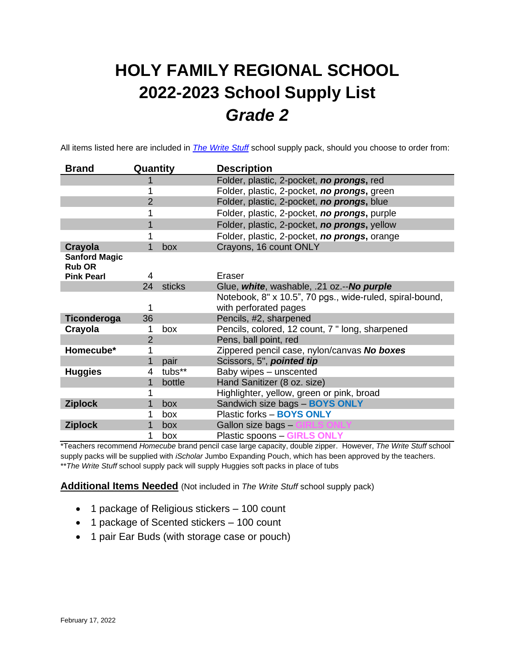# **HOLY FAMILY REGIONAL SCHOOL 2022-2023 School Supply List** *Grade 2*

All items listed here are included in *[The Write Stuff](https://www.write-stuff.com/storefront/school/hfrs)* school supply pack, should you choose to order from:

| <b>Brand</b>         | Quantity       | <b>Description</b>                                       |
|----------------------|----------------|----------------------------------------------------------|
|                      |                | Folder, plastic, 2-pocket, no prongs, red                |
|                      |                | Folder, plastic, 2-pocket, no prongs, green              |
|                      | $\overline{2}$ | Folder, plastic, 2-pocket, no prongs, blue               |
|                      |                | Folder, plastic, 2-pocket, no prongs, purple             |
|                      |                | Folder, plastic, 2-pocket, no prongs, yellow             |
|                      |                | Folder, plastic, 2-pocket, no prongs, orange             |
| Crayola              | box<br>1       | Crayons, 16 count ONLY                                   |
| <b>Sanford Magic</b> |                |                                                          |
| <b>Rub OR</b>        |                |                                                          |
| <b>Pink Pearl</b>    | 4              | Eraser                                                   |
|                      | 24<br>sticks   | Glue, white, washable, .21 oz.--No purple                |
|                      |                | Notebook, 8" x 10.5", 70 pgs., wide-ruled, spiral-bound, |
|                      |                | with perforated pages                                    |
| Ticonderoga          | 36             | Pencils, #2, sharpened                                   |
| Crayola              | box<br>1       | Pencils, colored, 12 count, 7 " long, sharpened          |
|                      | 2              | Pens, ball point, red                                    |
| Homecube*            |                | Zippered pencil case, nylon/canvas No boxes              |
|                      | pair           | Scissors, 5", pointed tip                                |
| <b>Huggies</b>       | tubs**<br>4    | Baby wipes - unscented                                   |
|                      | 1<br>bottle    | Hand Sanitizer (8 oz. size)                              |
|                      |                | Highlighter, yellow, green or pink, broad                |
| <b>Ziplock</b>       | 1<br>box       | Sandwich size bags - BOYS ONLY                           |
|                      | box            | Plastic forks - BOYS ONLY                                |
| <b>Ziplock</b>       | box            | Gallon size bags -                                       |
|                      | 1<br>box       | <b>Plastic spoons - GIRLS ONLY</b>                       |

\*Teachers recommend *Homecube* brand pencil case large capacity, double zipper. However, *The Write Stuff* school supply packs will be supplied with *iScholar* Jumbo Expanding Pouch, which has been approved by the teachers. \*\**The Write Stuff* school supply pack will supply Huggies soft packs in place of tubs

**Additional Items Needed** (Not included in *The Write Stuff* school supply pack)

- 1 package of Religious stickers 100 count
- 1 package of Scented stickers 100 count
- 1 pair Ear Buds (with storage case or pouch)